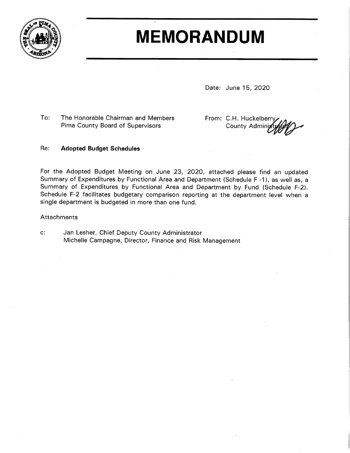

# **MEMORANDUM**

Date: June 15, 2020

To: The Honorable Chairman and Members Pima County Board of Supervisors

From: C.H. Huckelberry **County Admini** 

#### Re: **Adopted Budget Schedules**

For the Adopted Budget Meeting on June 23, 2020, attached please find an updated Summary of Expenditures by Functional Area and Department (Schedule F-1), as well as, a Summary of Expenditures by Functional Area and Department by Fund (Schedule F-2). Schedule F-2 facilitates budgetary comparison reporting at the department level when a single department is budgeted in more than one fund.

# Attachments

 $\mathbf{c}$ : Jan Lesher, Chief Deputy County Administrator Michelle Campagne, Director, Finance and Risk Management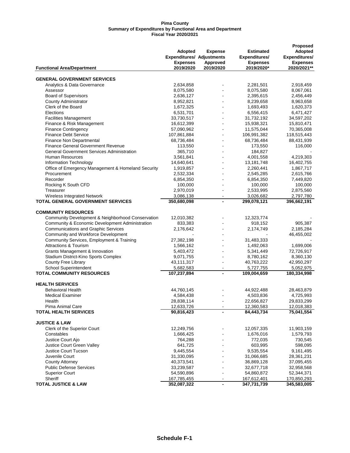| Adopted<br><b>Adopted</b><br><b>Expense</b><br><b>Estimated</b><br><b>Expenditures/ Adjustments</b><br>Expenditures/<br><b>Expenditures/</b><br><b>Expenses</b><br>Approved<br><b>Expenses</b><br><b>Expenses</b><br>2020/2021**<br>2019/2020<br>2019/2020<br>2019/2020*<br><b>Functional Area/Department</b><br><b>GENERAL GOVERNMENT SERVICES</b><br>Analytics & Data Governance<br>2,634,858<br>2,281,501<br>2,918,459<br>8,075,580<br>8,067,061<br>Assessor<br>8,075,580<br><b>Board of Supervisors</b><br>2,636,127<br>2,395,615<br>2,456,449<br><b>County Administrator</b><br>8,952,821<br>8,239,658<br>8,963,658<br>Clerk of the Board<br>1,672,325<br>1,693,493<br>1,620,373<br>Elections<br>6,531,701<br>6,556,415<br>6,471,427<br><b>Facilities Management</b><br>33,730,517<br>31,732,192<br>34,597,202<br>Finance & Risk Management<br>16,612,399<br>15,938,321<br>15,810,471<br>$\blacksquare$<br><b>Finance Contingency</b><br>11,575,044<br>70,365,008<br>57,090,962<br><b>Finance Debt Service</b><br>106,991,382<br>107,861,884<br>118,515,443<br>Finance Non Departmental<br>68,736,484<br>68,736,484<br>88,431,939<br>$\overline{\phantom{a}}$<br><b>Finance General Government Revenue</b><br>113,550<br>173,550<br>116,000<br><b>General Government Services Administration</b><br>365,710<br>184,827<br>$\overline{a}$<br><b>Human Resources</b><br>3,561,841<br>4,219,303<br>4,001,558<br>Information Technology<br>13,181,748<br>16,402,755<br>14,640,641<br>Office of Emergency Management & Homeland Security<br>2,260,441<br>1,867,717<br>1,919,857<br>$\blacksquare$<br>Procurement<br>2,545,285<br>2,532,334<br>2,615,766<br>Recorder<br>6,854,350<br>6,854,350<br>7,449,820<br>Rocking K South CFD<br>100,000<br>100,000<br>100,000<br>$\blacksquare$<br>2,970,019<br>2,533,995<br>2,875,560<br>Treasurer<br>Wireless Integrated Network<br>3,086,138<br>3,026,682<br>2,797,780<br>$\blacksquare$<br>TOTAL GENERAL GOVERNMENT SERVICES<br>299,078,121<br>350,680,098<br>396,662,191<br>$\overline{\phantom{a}}$<br><b>COMMUNITY RESOURCES</b><br>Community Development & Neighborhood Conservation<br>12,323,774<br>12,010,382<br>Community & Economic Development Administration<br>833,383<br>918,152<br>905,387<br><b>Communications and Graphic Services</b><br>2,176,642<br>2,174,749<br>2,185,284<br>Community and Workforce Development<br>46,455,002<br>Community Services, Employment & Training<br>27,382,198<br>31,483,333<br><b>Attractions &amp; Tourism</b><br>1,566,162<br>1,492,063<br>1,699,006<br>Grants Management & Innovation<br>5,403,472<br>5,341,449<br>72,726,917<br>Stadium District-Kino Sports Complex<br>9,071,755<br>8,780,162<br>8,360,130<br>$\blacksquare$<br>County Free Library<br>40,763,222<br>42,950,297<br>43,111,317<br>School Superintendent<br>5,682,583<br>5,727,755<br>5,052,975<br>$\overline{\phantom{a}}$<br><b>TOTAL COMMUNITY RESOURCES</b><br>107,237,894<br>109,004,659<br>180,334,998<br>$\blacksquare$<br><b>HEALTH SERVICES</b><br><b>Behavioral Health</b><br>44,760,145<br>44,922,488<br>28,463,879<br><b>Medical Examiner</b><br>4,584,438<br>4,503,836<br>4,725,993<br>$\blacksquare$<br>Health<br>28,838,114<br>22,656,827<br>29,833,299<br>Pima Animal Care<br>12,633,726<br>12,360,583<br>12,018,383<br>90,816,423<br>75,041,554<br><b>TOTAL HEALTH SERVICES</b><br>84,443,734<br><b>JUSTICE &amp; LAW</b><br>Clerk of the Superior Court<br>12,249,756<br>12,057,335<br>11,903,159<br>Constables<br>1,666,425<br>1,676,016<br>1,579,793<br>Justice Court Ajo<br>764,288<br>772,035<br>730,545<br>Justice Court Green Valley<br>603,995<br>641,725<br>598,095<br>Justice Court Tucson<br>9,445,554<br>9,535,554<br>9,161,495<br>Juvenile Court<br>31,330,095<br>31,066,685<br>28,361,231<br><b>County Attorney</b><br>40,373,541<br>36,869,128<br>37,095,455<br><b>Public Defense Services</b><br>33,239,587<br>32,677,718<br>32,958,568<br><b>Superior Court</b><br>54,590,896<br>54,860,872<br>52,344,371<br>Sheriff<br>167,785,455<br>167,612,401<br>170,850,293<br>347,731,739<br><b>TOTAL JUSTICE &amp; LAW</b><br>352,087,322<br>345,583,005<br>$\overline{\phantom{a}}$ |  |  | Proposed |
|----------------------------------------------------------------------------------------------------------------------------------------------------------------------------------------------------------------------------------------------------------------------------------------------------------------------------------------------------------------------------------------------------------------------------------------------------------------------------------------------------------------------------------------------------------------------------------------------------------------------------------------------------------------------------------------------------------------------------------------------------------------------------------------------------------------------------------------------------------------------------------------------------------------------------------------------------------------------------------------------------------------------------------------------------------------------------------------------------------------------------------------------------------------------------------------------------------------------------------------------------------------------------------------------------------------------------------------------------------------------------------------------------------------------------------------------------------------------------------------------------------------------------------------------------------------------------------------------------------------------------------------------------------------------------------------------------------------------------------------------------------------------------------------------------------------------------------------------------------------------------------------------------------------------------------------------------------------------------------------------------------------------------------------------------------------------------------------------------------------------------------------------------------------------------------------------------------------------------------------------------------------------------------------------------------------------------------------------------------------------------------------------------------------------------------------------------------------------------------------------------------------------------------------------------------------------------------------------------------------------------------------------------------------------------------------------------------------------------------------------------------------------------------------------------------------------------------------------------------------------------------------------------------------------------------------------------------------------------------------------------------------------------------------------------------------------------------------------------------------------------------------------------------------------------------------------------------------------------------------------------------------------------------------------------------------------------------------------------------------------------------------------------------------------------------------------------------------------------------------------------------------------------------------------------------------------------------------------------------------------------------------------------------------------------------------------------------------------------------------------------------------------------------------------------------------------------------------------------------------------------------------------------------------------------------------------------------------------------------------------------------------------------------------------------------------------------------------------------------------------------------------------------------------------------|--|--|----------|
|                                                                                                                                                                                                                                                                                                                                                                                                                                                                                                                                                                                                                                                                                                                                                                                                                                                                                                                                                                                                                                                                                                                                                                                                                                                                                                                                                                                                                                                                                                                                                                                                                                                                                                                                                                                                                                                                                                                                                                                                                                                                                                                                                                                                                                                                                                                                                                                                                                                                                                                                                                                                                                                                                                                                                                                                                                                                                                                                                                                                                                                                                                                                                                                                                                                                                                                                                                                                                                                                                                                                                                                                                                                                                                                                                                                                                                                                                                                                                                                                                                                                                                                                                                            |  |  |          |
|                                                                                                                                                                                                                                                                                                                                                                                                                                                                                                                                                                                                                                                                                                                                                                                                                                                                                                                                                                                                                                                                                                                                                                                                                                                                                                                                                                                                                                                                                                                                                                                                                                                                                                                                                                                                                                                                                                                                                                                                                                                                                                                                                                                                                                                                                                                                                                                                                                                                                                                                                                                                                                                                                                                                                                                                                                                                                                                                                                                                                                                                                                                                                                                                                                                                                                                                                                                                                                                                                                                                                                                                                                                                                                                                                                                                                                                                                                                                                                                                                                                                                                                                                                            |  |  |          |
|                                                                                                                                                                                                                                                                                                                                                                                                                                                                                                                                                                                                                                                                                                                                                                                                                                                                                                                                                                                                                                                                                                                                                                                                                                                                                                                                                                                                                                                                                                                                                                                                                                                                                                                                                                                                                                                                                                                                                                                                                                                                                                                                                                                                                                                                                                                                                                                                                                                                                                                                                                                                                                                                                                                                                                                                                                                                                                                                                                                                                                                                                                                                                                                                                                                                                                                                                                                                                                                                                                                                                                                                                                                                                                                                                                                                                                                                                                                                                                                                                                                                                                                                                                            |  |  |          |
|                                                                                                                                                                                                                                                                                                                                                                                                                                                                                                                                                                                                                                                                                                                                                                                                                                                                                                                                                                                                                                                                                                                                                                                                                                                                                                                                                                                                                                                                                                                                                                                                                                                                                                                                                                                                                                                                                                                                                                                                                                                                                                                                                                                                                                                                                                                                                                                                                                                                                                                                                                                                                                                                                                                                                                                                                                                                                                                                                                                                                                                                                                                                                                                                                                                                                                                                                                                                                                                                                                                                                                                                                                                                                                                                                                                                                                                                                                                                                                                                                                                                                                                                                                            |  |  |          |
|                                                                                                                                                                                                                                                                                                                                                                                                                                                                                                                                                                                                                                                                                                                                                                                                                                                                                                                                                                                                                                                                                                                                                                                                                                                                                                                                                                                                                                                                                                                                                                                                                                                                                                                                                                                                                                                                                                                                                                                                                                                                                                                                                                                                                                                                                                                                                                                                                                                                                                                                                                                                                                                                                                                                                                                                                                                                                                                                                                                                                                                                                                                                                                                                                                                                                                                                                                                                                                                                                                                                                                                                                                                                                                                                                                                                                                                                                                                                                                                                                                                                                                                                                                            |  |  |          |
|                                                                                                                                                                                                                                                                                                                                                                                                                                                                                                                                                                                                                                                                                                                                                                                                                                                                                                                                                                                                                                                                                                                                                                                                                                                                                                                                                                                                                                                                                                                                                                                                                                                                                                                                                                                                                                                                                                                                                                                                                                                                                                                                                                                                                                                                                                                                                                                                                                                                                                                                                                                                                                                                                                                                                                                                                                                                                                                                                                                                                                                                                                                                                                                                                                                                                                                                                                                                                                                                                                                                                                                                                                                                                                                                                                                                                                                                                                                                                                                                                                                                                                                                                                            |  |  |          |
|                                                                                                                                                                                                                                                                                                                                                                                                                                                                                                                                                                                                                                                                                                                                                                                                                                                                                                                                                                                                                                                                                                                                                                                                                                                                                                                                                                                                                                                                                                                                                                                                                                                                                                                                                                                                                                                                                                                                                                                                                                                                                                                                                                                                                                                                                                                                                                                                                                                                                                                                                                                                                                                                                                                                                                                                                                                                                                                                                                                                                                                                                                                                                                                                                                                                                                                                                                                                                                                                                                                                                                                                                                                                                                                                                                                                                                                                                                                                                                                                                                                                                                                                                                            |  |  |          |
|                                                                                                                                                                                                                                                                                                                                                                                                                                                                                                                                                                                                                                                                                                                                                                                                                                                                                                                                                                                                                                                                                                                                                                                                                                                                                                                                                                                                                                                                                                                                                                                                                                                                                                                                                                                                                                                                                                                                                                                                                                                                                                                                                                                                                                                                                                                                                                                                                                                                                                                                                                                                                                                                                                                                                                                                                                                                                                                                                                                                                                                                                                                                                                                                                                                                                                                                                                                                                                                                                                                                                                                                                                                                                                                                                                                                                                                                                                                                                                                                                                                                                                                                                                            |  |  |          |
|                                                                                                                                                                                                                                                                                                                                                                                                                                                                                                                                                                                                                                                                                                                                                                                                                                                                                                                                                                                                                                                                                                                                                                                                                                                                                                                                                                                                                                                                                                                                                                                                                                                                                                                                                                                                                                                                                                                                                                                                                                                                                                                                                                                                                                                                                                                                                                                                                                                                                                                                                                                                                                                                                                                                                                                                                                                                                                                                                                                                                                                                                                                                                                                                                                                                                                                                                                                                                                                                                                                                                                                                                                                                                                                                                                                                                                                                                                                                                                                                                                                                                                                                                                            |  |  |          |
|                                                                                                                                                                                                                                                                                                                                                                                                                                                                                                                                                                                                                                                                                                                                                                                                                                                                                                                                                                                                                                                                                                                                                                                                                                                                                                                                                                                                                                                                                                                                                                                                                                                                                                                                                                                                                                                                                                                                                                                                                                                                                                                                                                                                                                                                                                                                                                                                                                                                                                                                                                                                                                                                                                                                                                                                                                                                                                                                                                                                                                                                                                                                                                                                                                                                                                                                                                                                                                                                                                                                                                                                                                                                                                                                                                                                                                                                                                                                                                                                                                                                                                                                                                            |  |  |          |
|                                                                                                                                                                                                                                                                                                                                                                                                                                                                                                                                                                                                                                                                                                                                                                                                                                                                                                                                                                                                                                                                                                                                                                                                                                                                                                                                                                                                                                                                                                                                                                                                                                                                                                                                                                                                                                                                                                                                                                                                                                                                                                                                                                                                                                                                                                                                                                                                                                                                                                                                                                                                                                                                                                                                                                                                                                                                                                                                                                                                                                                                                                                                                                                                                                                                                                                                                                                                                                                                                                                                                                                                                                                                                                                                                                                                                                                                                                                                                                                                                                                                                                                                                                            |  |  |          |
|                                                                                                                                                                                                                                                                                                                                                                                                                                                                                                                                                                                                                                                                                                                                                                                                                                                                                                                                                                                                                                                                                                                                                                                                                                                                                                                                                                                                                                                                                                                                                                                                                                                                                                                                                                                                                                                                                                                                                                                                                                                                                                                                                                                                                                                                                                                                                                                                                                                                                                                                                                                                                                                                                                                                                                                                                                                                                                                                                                                                                                                                                                                                                                                                                                                                                                                                                                                                                                                                                                                                                                                                                                                                                                                                                                                                                                                                                                                                                                                                                                                                                                                                                                            |  |  |          |
|                                                                                                                                                                                                                                                                                                                                                                                                                                                                                                                                                                                                                                                                                                                                                                                                                                                                                                                                                                                                                                                                                                                                                                                                                                                                                                                                                                                                                                                                                                                                                                                                                                                                                                                                                                                                                                                                                                                                                                                                                                                                                                                                                                                                                                                                                                                                                                                                                                                                                                                                                                                                                                                                                                                                                                                                                                                                                                                                                                                                                                                                                                                                                                                                                                                                                                                                                                                                                                                                                                                                                                                                                                                                                                                                                                                                                                                                                                                                                                                                                                                                                                                                                                            |  |  |          |
|                                                                                                                                                                                                                                                                                                                                                                                                                                                                                                                                                                                                                                                                                                                                                                                                                                                                                                                                                                                                                                                                                                                                                                                                                                                                                                                                                                                                                                                                                                                                                                                                                                                                                                                                                                                                                                                                                                                                                                                                                                                                                                                                                                                                                                                                                                                                                                                                                                                                                                                                                                                                                                                                                                                                                                                                                                                                                                                                                                                                                                                                                                                                                                                                                                                                                                                                                                                                                                                                                                                                                                                                                                                                                                                                                                                                                                                                                                                                                                                                                                                                                                                                                                            |  |  |          |
|                                                                                                                                                                                                                                                                                                                                                                                                                                                                                                                                                                                                                                                                                                                                                                                                                                                                                                                                                                                                                                                                                                                                                                                                                                                                                                                                                                                                                                                                                                                                                                                                                                                                                                                                                                                                                                                                                                                                                                                                                                                                                                                                                                                                                                                                                                                                                                                                                                                                                                                                                                                                                                                                                                                                                                                                                                                                                                                                                                                                                                                                                                                                                                                                                                                                                                                                                                                                                                                                                                                                                                                                                                                                                                                                                                                                                                                                                                                                                                                                                                                                                                                                                                            |  |  |          |
|                                                                                                                                                                                                                                                                                                                                                                                                                                                                                                                                                                                                                                                                                                                                                                                                                                                                                                                                                                                                                                                                                                                                                                                                                                                                                                                                                                                                                                                                                                                                                                                                                                                                                                                                                                                                                                                                                                                                                                                                                                                                                                                                                                                                                                                                                                                                                                                                                                                                                                                                                                                                                                                                                                                                                                                                                                                                                                                                                                                                                                                                                                                                                                                                                                                                                                                                                                                                                                                                                                                                                                                                                                                                                                                                                                                                                                                                                                                                                                                                                                                                                                                                                                            |  |  |          |
|                                                                                                                                                                                                                                                                                                                                                                                                                                                                                                                                                                                                                                                                                                                                                                                                                                                                                                                                                                                                                                                                                                                                                                                                                                                                                                                                                                                                                                                                                                                                                                                                                                                                                                                                                                                                                                                                                                                                                                                                                                                                                                                                                                                                                                                                                                                                                                                                                                                                                                                                                                                                                                                                                                                                                                                                                                                                                                                                                                                                                                                                                                                                                                                                                                                                                                                                                                                                                                                                                                                                                                                                                                                                                                                                                                                                                                                                                                                                                                                                                                                                                                                                                                            |  |  |          |
|                                                                                                                                                                                                                                                                                                                                                                                                                                                                                                                                                                                                                                                                                                                                                                                                                                                                                                                                                                                                                                                                                                                                                                                                                                                                                                                                                                                                                                                                                                                                                                                                                                                                                                                                                                                                                                                                                                                                                                                                                                                                                                                                                                                                                                                                                                                                                                                                                                                                                                                                                                                                                                                                                                                                                                                                                                                                                                                                                                                                                                                                                                                                                                                                                                                                                                                                                                                                                                                                                                                                                                                                                                                                                                                                                                                                                                                                                                                                                                                                                                                                                                                                                                            |  |  |          |
|                                                                                                                                                                                                                                                                                                                                                                                                                                                                                                                                                                                                                                                                                                                                                                                                                                                                                                                                                                                                                                                                                                                                                                                                                                                                                                                                                                                                                                                                                                                                                                                                                                                                                                                                                                                                                                                                                                                                                                                                                                                                                                                                                                                                                                                                                                                                                                                                                                                                                                                                                                                                                                                                                                                                                                                                                                                                                                                                                                                                                                                                                                                                                                                                                                                                                                                                                                                                                                                                                                                                                                                                                                                                                                                                                                                                                                                                                                                                                                                                                                                                                                                                                                            |  |  |          |
|                                                                                                                                                                                                                                                                                                                                                                                                                                                                                                                                                                                                                                                                                                                                                                                                                                                                                                                                                                                                                                                                                                                                                                                                                                                                                                                                                                                                                                                                                                                                                                                                                                                                                                                                                                                                                                                                                                                                                                                                                                                                                                                                                                                                                                                                                                                                                                                                                                                                                                                                                                                                                                                                                                                                                                                                                                                                                                                                                                                                                                                                                                                                                                                                                                                                                                                                                                                                                                                                                                                                                                                                                                                                                                                                                                                                                                                                                                                                                                                                                                                                                                                                                                            |  |  |          |
|                                                                                                                                                                                                                                                                                                                                                                                                                                                                                                                                                                                                                                                                                                                                                                                                                                                                                                                                                                                                                                                                                                                                                                                                                                                                                                                                                                                                                                                                                                                                                                                                                                                                                                                                                                                                                                                                                                                                                                                                                                                                                                                                                                                                                                                                                                                                                                                                                                                                                                                                                                                                                                                                                                                                                                                                                                                                                                                                                                                                                                                                                                                                                                                                                                                                                                                                                                                                                                                                                                                                                                                                                                                                                                                                                                                                                                                                                                                                                                                                                                                                                                                                                                            |  |  |          |
|                                                                                                                                                                                                                                                                                                                                                                                                                                                                                                                                                                                                                                                                                                                                                                                                                                                                                                                                                                                                                                                                                                                                                                                                                                                                                                                                                                                                                                                                                                                                                                                                                                                                                                                                                                                                                                                                                                                                                                                                                                                                                                                                                                                                                                                                                                                                                                                                                                                                                                                                                                                                                                                                                                                                                                                                                                                                                                                                                                                                                                                                                                                                                                                                                                                                                                                                                                                                                                                                                                                                                                                                                                                                                                                                                                                                                                                                                                                                                                                                                                                                                                                                                                            |  |  |          |
|                                                                                                                                                                                                                                                                                                                                                                                                                                                                                                                                                                                                                                                                                                                                                                                                                                                                                                                                                                                                                                                                                                                                                                                                                                                                                                                                                                                                                                                                                                                                                                                                                                                                                                                                                                                                                                                                                                                                                                                                                                                                                                                                                                                                                                                                                                                                                                                                                                                                                                                                                                                                                                                                                                                                                                                                                                                                                                                                                                                                                                                                                                                                                                                                                                                                                                                                                                                                                                                                                                                                                                                                                                                                                                                                                                                                                                                                                                                                                                                                                                                                                                                                                                            |  |  |          |
|                                                                                                                                                                                                                                                                                                                                                                                                                                                                                                                                                                                                                                                                                                                                                                                                                                                                                                                                                                                                                                                                                                                                                                                                                                                                                                                                                                                                                                                                                                                                                                                                                                                                                                                                                                                                                                                                                                                                                                                                                                                                                                                                                                                                                                                                                                                                                                                                                                                                                                                                                                                                                                                                                                                                                                                                                                                                                                                                                                                                                                                                                                                                                                                                                                                                                                                                                                                                                                                                                                                                                                                                                                                                                                                                                                                                                                                                                                                                                                                                                                                                                                                                                                            |  |  |          |
|                                                                                                                                                                                                                                                                                                                                                                                                                                                                                                                                                                                                                                                                                                                                                                                                                                                                                                                                                                                                                                                                                                                                                                                                                                                                                                                                                                                                                                                                                                                                                                                                                                                                                                                                                                                                                                                                                                                                                                                                                                                                                                                                                                                                                                                                                                                                                                                                                                                                                                                                                                                                                                                                                                                                                                                                                                                                                                                                                                                                                                                                                                                                                                                                                                                                                                                                                                                                                                                                                                                                                                                                                                                                                                                                                                                                                                                                                                                                                                                                                                                                                                                                                                            |  |  |          |
|                                                                                                                                                                                                                                                                                                                                                                                                                                                                                                                                                                                                                                                                                                                                                                                                                                                                                                                                                                                                                                                                                                                                                                                                                                                                                                                                                                                                                                                                                                                                                                                                                                                                                                                                                                                                                                                                                                                                                                                                                                                                                                                                                                                                                                                                                                                                                                                                                                                                                                                                                                                                                                                                                                                                                                                                                                                                                                                                                                                                                                                                                                                                                                                                                                                                                                                                                                                                                                                                                                                                                                                                                                                                                                                                                                                                                                                                                                                                                                                                                                                                                                                                                                            |  |  |          |
|                                                                                                                                                                                                                                                                                                                                                                                                                                                                                                                                                                                                                                                                                                                                                                                                                                                                                                                                                                                                                                                                                                                                                                                                                                                                                                                                                                                                                                                                                                                                                                                                                                                                                                                                                                                                                                                                                                                                                                                                                                                                                                                                                                                                                                                                                                                                                                                                                                                                                                                                                                                                                                                                                                                                                                                                                                                                                                                                                                                                                                                                                                                                                                                                                                                                                                                                                                                                                                                                                                                                                                                                                                                                                                                                                                                                                                                                                                                                                                                                                                                                                                                                                                            |  |  |          |
|                                                                                                                                                                                                                                                                                                                                                                                                                                                                                                                                                                                                                                                                                                                                                                                                                                                                                                                                                                                                                                                                                                                                                                                                                                                                                                                                                                                                                                                                                                                                                                                                                                                                                                                                                                                                                                                                                                                                                                                                                                                                                                                                                                                                                                                                                                                                                                                                                                                                                                                                                                                                                                                                                                                                                                                                                                                                                                                                                                                                                                                                                                                                                                                                                                                                                                                                                                                                                                                                                                                                                                                                                                                                                                                                                                                                                                                                                                                                                                                                                                                                                                                                                                            |  |  |          |
|                                                                                                                                                                                                                                                                                                                                                                                                                                                                                                                                                                                                                                                                                                                                                                                                                                                                                                                                                                                                                                                                                                                                                                                                                                                                                                                                                                                                                                                                                                                                                                                                                                                                                                                                                                                                                                                                                                                                                                                                                                                                                                                                                                                                                                                                                                                                                                                                                                                                                                                                                                                                                                                                                                                                                                                                                                                                                                                                                                                                                                                                                                                                                                                                                                                                                                                                                                                                                                                                                                                                                                                                                                                                                                                                                                                                                                                                                                                                                                                                                                                                                                                                                                            |  |  |          |
|                                                                                                                                                                                                                                                                                                                                                                                                                                                                                                                                                                                                                                                                                                                                                                                                                                                                                                                                                                                                                                                                                                                                                                                                                                                                                                                                                                                                                                                                                                                                                                                                                                                                                                                                                                                                                                                                                                                                                                                                                                                                                                                                                                                                                                                                                                                                                                                                                                                                                                                                                                                                                                                                                                                                                                                                                                                                                                                                                                                                                                                                                                                                                                                                                                                                                                                                                                                                                                                                                                                                                                                                                                                                                                                                                                                                                                                                                                                                                                                                                                                                                                                                                                            |  |  |          |
|                                                                                                                                                                                                                                                                                                                                                                                                                                                                                                                                                                                                                                                                                                                                                                                                                                                                                                                                                                                                                                                                                                                                                                                                                                                                                                                                                                                                                                                                                                                                                                                                                                                                                                                                                                                                                                                                                                                                                                                                                                                                                                                                                                                                                                                                                                                                                                                                                                                                                                                                                                                                                                                                                                                                                                                                                                                                                                                                                                                                                                                                                                                                                                                                                                                                                                                                                                                                                                                                                                                                                                                                                                                                                                                                                                                                                                                                                                                                                                                                                                                                                                                                                                            |  |  |          |
|                                                                                                                                                                                                                                                                                                                                                                                                                                                                                                                                                                                                                                                                                                                                                                                                                                                                                                                                                                                                                                                                                                                                                                                                                                                                                                                                                                                                                                                                                                                                                                                                                                                                                                                                                                                                                                                                                                                                                                                                                                                                                                                                                                                                                                                                                                                                                                                                                                                                                                                                                                                                                                                                                                                                                                                                                                                                                                                                                                                                                                                                                                                                                                                                                                                                                                                                                                                                                                                                                                                                                                                                                                                                                                                                                                                                                                                                                                                                                                                                                                                                                                                                                                            |  |  |          |
|                                                                                                                                                                                                                                                                                                                                                                                                                                                                                                                                                                                                                                                                                                                                                                                                                                                                                                                                                                                                                                                                                                                                                                                                                                                                                                                                                                                                                                                                                                                                                                                                                                                                                                                                                                                                                                                                                                                                                                                                                                                                                                                                                                                                                                                                                                                                                                                                                                                                                                                                                                                                                                                                                                                                                                                                                                                                                                                                                                                                                                                                                                                                                                                                                                                                                                                                                                                                                                                                                                                                                                                                                                                                                                                                                                                                                                                                                                                                                                                                                                                                                                                                                                            |  |  |          |
|                                                                                                                                                                                                                                                                                                                                                                                                                                                                                                                                                                                                                                                                                                                                                                                                                                                                                                                                                                                                                                                                                                                                                                                                                                                                                                                                                                                                                                                                                                                                                                                                                                                                                                                                                                                                                                                                                                                                                                                                                                                                                                                                                                                                                                                                                                                                                                                                                                                                                                                                                                                                                                                                                                                                                                                                                                                                                                                                                                                                                                                                                                                                                                                                                                                                                                                                                                                                                                                                                                                                                                                                                                                                                                                                                                                                                                                                                                                                                                                                                                                                                                                                                                            |  |  |          |
|                                                                                                                                                                                                                                                                                                                                                                                                                                                                                                                                                                                                                                                                                                                                                                                                                                                                                                                                                                                                                                                                                                                                                                                                                                                                                                                                                                                                                                                                                                                                                                                                                                                                                                                                                                                                                                                                                                                                                                                                                                                                                                                                                                                                                                                                                                                                                                                                                                                                                                                                                                                                                                                                                                                                                                                                                                                                                                                                                                                                                                                                                                                                                                                                                                                                                                                                                                                                                                                                                                                                                                                                                                                                                                                                                                                                                                                                                                                                                                                                                                                                                                                                                                            |  |  |          |
|                                                                                                                                                                                                                                                                                                                                                                                                                                                                                                                                                                                                                                                                                                                                                                                                                                                                                                                                                                                                                                                                                                                                                                                                                                                                                                                                                                                                                                                                                                                                                                                                                                                                                                                                                                                                                                                                                                                                                                                                                                                                                                                                                                                                                                                                                                                                                                                                                                                                                                                                                                                                                                                                                                                                                                                                                                                                                                                                                                                                                                                                                                                                                                                                                                                                                                                                                                                                                                                                                                                                                                                                                                                                                                                                                                                                                                                                                                                                                                                                                                                                                                                                                                            |  |  |          |
|                                                                                                                                                                                                                                                                                                                                                                                                                                                                                                                                                                                                                                                                                                                                                                                                                                                                                                                                                                                                                                                                                                                                                                                                                                                                                                                                                                                                                                                                                                                                                                                                                                                                                                                                                                                                                                                                                                                                                                                                                                                                                                                                                                                                                                                                                                                                                                                                                                                                                                                                                                                                                                                                                                                                                                                                                                                                                                                                                                                                                                                                                                                                                                                                                                                                                                                                                                                                                                                                                                                                                                                                                                                                                                                                                                                                                                                                                                                                                                                                                                                                                                                                                                            |  |  |          |
|                                                                                                                                                                                                                                                                                                                                                                                                                                                                                                                                                                                                                                                                                                                                                                                                                                                                                                                                                                                                                                                                                                                                                                                                                                                                                                                                                                                                                                                                                                                                                                                                                                                                                                                                                                                                                                                                                                                                                                                                                                                                                                                                                                                                                                                                                                                                                                                                                                                                                                                                                                                                                                                                                                                                                                                                                                                                                                                                                                                                                                                                                                                                                                                                                                                                                                                                                                                                                                                                                                                                                                                                                                                                                                                                                                                                                                                                                                                                                                                                                                                                                                                                                                            |  |  |          |
|                                                                                                                                                                                                                                                                                                                                                                                                                                                                                                                                                                                                                                                                                                                                                                                                                                                                                                                                                                                                                                                                                                                                                                                                                                                                                                                                                                                                                                                                                                                                                                                                                                                                                                                                                                                                                                                                                                                                                                                                                                                                                                                                                                                                                                                                                                                                                                                                                                                                                                                                                                                                                                                                                                                                                                                                                                                                                                                                                                                                                                                                                                                                                                                                                                                                                                                                                                                                                                                                                                                                                                                                                                                                                                                                                                                                                                                                                                                                                                                                                                                                                                                                                                            |  |  |          |
|                                                                                                                                                                                                                                                                                                                                                                                                                                                                                                                                                                                                                                                                                                                                                                                                                                                                                                                                                                                                                                                                                                                                                                                                                                                                                                                                                                                                                                                                                                                                                                                                                                                                                                                                                                                                                                                                                                                                                                                                                                                                                                                                                                                                                                                                                                                                                                                                                                                                                                                                                                                                                                                                                                                                                                                                                                                                                                                                                                                                                                                                                                                                                                                                                                                                                                                                                                                                                                                                                                                                                                                                                                                                                                                                                                                                                                                                                                                                                                                                                                                                                                                                                                            |  |  |          |
|                                                                                                                                                                                                                                                                                                                                                                                                                                                                                                                                                                                                                                                                                                                                                                                                                                                                                                                                                                                                                                                                                                                                                                                                                                                                                                                                                                                                                                                                                                                                                                                                                                                                                                                                                                                                                                                                                                                                                                                                                                                                                                                                                                                                                                                                                                                                                                                                                                                                                                                                                                                                                                                                                                                                                                                                                                                                                                                                                                                                                                                                                                                                                                                                                                                                                                                                                                                                                                                                                                                                                                                                                                                                                                                                                                                                                                                                                                                                                                                                                                                                                                                                                                            |  |  |          |
|                                                                                                                                                                                                                                                                                                                                                                                                                                                                                                                                                                                                                                                                                                                                                                                                                                                                                                                                                                                                                                                                                                                                                                                                                                                                                                                                                                                                                                                                                                                                                                                                                                                                                                                                                                                                                                                                                                                                                                                                                                                                                                                                                                                                                                                                                                                                                                                                                                                                                                                                                                                                                                                                                                                                                                                                                                                                                                                                                                                                                                                                                                                                                                                                                                                                                                                                                                                                                                                                                                                                                                                                                                                                                                                                                                                                                                                                                                                                                                                                                                                                                                                                                                            |  |  |          |
|                                                                                                                                                                                                                                                                                                                                                                                                                                                                                                                                                                                                                                                                                                                                                                                                                                                                                                                                                                                                                                                                                                                                                                                                                                                                                                                                                                                                                                                                                                                                                                                                                                                                                                                                                                                                                                                                                                                                                                                                                                                                                                                                                                                                                                                                                                                                                                                                                                                                                                                                                                                                                                                                                                                                                                                                                                                                                                                                                                                                                                                                                                                                                                                                                                                                                                                                                                                                                                                                                                                                                                                                                                                                                                                                                                                                                                                                                                                                                                                                                                                                                                                                                                            |  |  |          |
|                                                                                                                                                                                                                                                                                                                                                                                                                                                                                                                                                                                                                                                                                                                                                                                                                                                                                                                                                                                                                                                                                                                                                                                                                                                                                                                                                                                                                                                                                                                                                                                                                                                                                                                                                                                                                                                                                                                                                                                                                                                                                                                                                                                                                                                                                                                                                                                                                                                                                                                                                                                                                                                                                                                                                                                                                                                                                                                                                                                                                                                                                                                                                                                                                                                                                                                                                                                                                                                                                                                                                                                                                                                                                                                                                                                                                                                                                                                                                                                                                                                                                                                                                                            |  |  |          |
|                                                                                                                                                                                                                                                                                                                                                                                                                                                                                                                                                                                                                                                                                                                                                                                                                                                                                                                                                                                                                                                                                                                                                                                                                                                                                                                                                                                                                                                                                                                                                                                                                                                                                                                                                                                                                                                                                                                                                                                                                                                                                                                                                                                                                                                                                                                                                                                                                                                                                                                                                                                                                                                                                                                                                                                                                                                                                                                                                                                                                                                                                                                                                                                                                                                                                                                                                                                                                                                                                                                                                                                                                                                                                                                                                                                                                                                                                                                                                                                                                                                                                                                                                                            |  |  |          |
|                                                                                                                                                                                                                                                                                                                                                                                                                                                                                                                                                                                                                                                                                                                                                                                                                                                                                                                                                                                                                                                                                                                                                                                                                                                                                                                                                                                                                                                                                                                                                                                                                                                                                                                                                                                                                                                                                                                                                                                                                                                                                                                                                                                                                                                                                                                                                                                                                                                                                                                                                                                                                                                                                                                                                                                                                                                                                                                                                                                                                                                                                                                                                                                                                                                                                                                                                                                                                                                                                                                                                                                                                                                                                                                                                                                                                                                                                                                                                                                                                                                                                                                                                                            |  |  |          |
|                                                                                                                                                                                                                                                                                                                                                                                                                                                                                                                                                                                                                                                                                                                                                                                                                                                                                                                                                                                                                                                                                                                                                                                                                                                                                                                                                                                                                                                                                                                                                                                                                                                                                                                                                                                                                                                                                                                                                                                                                                                                                                                                                                                                                                                                                                                                                                                                                                                                                                                                                                                                                                                                                                                                                                                                                                                                                                                                                                                                                                                                                                                                                                                                                                                                                                                                                                                                                                                                                                                                                                                                                                                                                                                                                                                                                                                                                                                                                                                                                                                                                                                                                                            |  |  |          |
|                                                                                                                                                                                                                                                                                                                                                                                                                                                                                                                                                                                                                                                                                                                                                                                                                                                                                                                                                                                                                                                                                                                                                                                                                                                                                                                                                                                                                                                                                                                                                                                                                                                                                                                                                                                                                                                                                                                                                                                                                                                                                                                                                                                                                                                                                                                                                                                                                                                                                                                                                                                                                                                                                                                                                                                                                                                                                                                                                                                                                                                                                                                                                                                                                                                                                                                                                                                                                                                                                                                                                                                                                                                                                                                                                                                                                                                                                                                                                                                                                                                                                                                                                                            |  |  |          |
|                                                                                                                                                                                                                                                                                                                                                                                                                                                                                                                                                                                                                                                                                                                                                                                                                                                                                                                                                                                                                                                                                                                                                                                                                                                                                                                                                                                                                                                                                                                                                                                                                                                                                                                                                                                                                                                                                                                                                                                                                                                                                                                                                                                                                                                                                                                                                                                                                                                                                                                                                                                                                                                                                                                                                                                                                                                                                                                                                                                                                                                                                                                                                                                                                                                                                                                                                                                                                                                                                                                                                                                                                                                                                                                                                                                                                                                                                                                                                                                                                                                                                                                                                                            |  |  |          |
|                                                                                                                                                                                                                                                                                                                                                                                                                                                                                                                                                                                                                                                                                                                                                                                                                                                                                                                                                                                                                                                                                                                                                                                                                                                                                                                                                                                                                                                                                                                                                                                                                                                                                                                                                                                                                                                                                                                                                                                                                                                                                                                                                                                                                                                                                                                                                                                                                                                                                                                                                                                                                                                                                                                                                                                                                                                                                                                                                                                                                                                                                                                                                                                                                                                                                                                                                                                                                                                                                                                                                                                                                                                                                                                                                                                                                                                                                                                                                                                                                                                                                                                                                                            |  |  |          |
|                                                                                                                                                                                                                                                                                                                                                                                                                                                                                                                                                                                                                                                                                                                                                                                                                                                                                                                                                                                                                                                                                                                                                                                                                                                                                                                                                                                                                                                                                                                                                                                                                                                                                                                                                                                                                                                                                                                                                                                                                                                                                                                                                                                                                                                                                                                                                                                                                                                                                                                                                                                                                                                                                                                                                                                                                                                                                                                                                                                                                                                                                                                                                                                                                                                                                                                                                                                                                                                                                                                                                                                                                                                                                                                                                                                                                                                                                                                                                                                                                                                                                                                                                                            |  |  |          |
|                                                                                                                                                                                                                                                                                                                                                                                                                                                                                                                                                                                                                                                                                                                                                                                                                                                                                                                                                                                                                                                                                                                                                                                                                                                                                                                                                                                                                                                                                                                                                                                                                                                                                                                                                                                                                                                                                                                                                                                                                                                                                                                                                                                                                                                                                                                                                                                                                                                                                                                                                                                                                                                                                                                                                                                                                                                                                                                                                                                                                                                                                                                                                                                                                                                                                                                                                                                                                                                                                                                                                                                                                                                                                                                                                                                                                                                                                                                                                                                                                                                                                                                                                                            |  |  |          |
|                                                                                                                                                                                                                                                                                                                                                                                                                                                                                                                                                                                                                                                                                                                                                                                                                                                                                                                                                                                                                                                                                                                                                                                                                                                                                                                                                                                                                                                                                                                                                                                                                                                                                                                                                                                                                                                                                                                                                                                                                                                                                                                                                                                                                                                                                                                                                                                                                                                                                                                                                                                                                                                                                                                                                                                                                                                                                                                                                                                                                                                                                                                                                                                                                                                                                                                                                                                                                                                                                                                                                                                                                                                                                                                                                                                                                                                                                                                                                                                                                                                                                                                                                                            |  |  |          |
|                                                                                                                                                                                                                                                                                                                                                                                                                                                                                                                                                                                                                                                                                                                                                                                                                                                                                                                                                                                                                                                                                                                                                                                                                                                                                                                                                                                                                                                                                                                                                                                                                                                                                                                                                                                                                                                                                                                                                                                                                                                                                                                                                                                                                                                                                                                                                                                                                                                                                                                                                                                                                                                                                                                                                                                                                                                                                                                                                                                                                                                                                                                                                                                                                                                                                                                                                                                                                                                                                                                                                                                                                                                                                                                                                                                                                                                                                                                                                                                                                                                                                                                                                                            |  |  |          |
|                                                                                                                                                                                                                                                                                                                                                                                                                                                                                                                                                                                                                                                                                                                                                                                                                                                                                                                                                                                                                                                                                                                                                                                                                                                                                                                                                                                                                                                                                                                                                                                                                                                                                                                                                                                                                                                                                                                                                                                                                                                                                                                                                                                                                                                                                                                                                                                                                                                                                                                                                                                                                                                                                                                                                                                                                                                                                                                                                                                                                                                                                                                                                                                                                                                                                                                                                                                                                                                                                                                                                                                                                                                                                                                                                                                                                                                                                                                                                                                                                                                                                                                                                                            |  |  |          |
|                                                                                                                                                                                                                                                                                                                                                                                                                                                                                                                                                                                                                                                                                                                                                                                                                                                                                                                                                                                                                                                                                                                                                                                                                                                                                                                                                                                                                                                                                                                                                                                                                                                                                                                                                                                                                                                                                                                                                                                                                                                                                                                                                                                                                                                                                                                                                                                                                                                                                                                                                                                                                                                                                                                                                                                                                                                                                                                                                                                                                                                                                                                                                                                                                                                                                                                                                                                                                                                                                                                                                                                                                                                                                                                                                                                                                                                                                                                                                                                                                                                                                                                                                                            |  |  |          |
|                                                                                                                                                                                                                                                                                                                                                                                                                                                                                                                                                                                                                                                                                                                                                                                                                                                                                                                                                                                                                                                                                                                                                                                                                                                                                                                                                                                                                                                                                                                                                                                                                                                                                                                                                                                                                                                                                                                                                                                                                                                                                                                                                                                                                                                                                                                                                                                                                                                                                                                                                                                                                                                                                                                                                                                                                                                                                                                                                                                                                                                                                                                                                                                                                                                                                                                                                                                                                                                                                                                                                                                                                                                                                                                                                                                                                                                                                                                                                                                                                                                                                                                                                                            |  |  |          |
|                                                                                                                                                                                                                                                                                                                                                                                                                                                                                                                                                                                                                                                                                                                                                                                                                                                                                                                                                                                                                                                                                                                                                                                                                                                                                                                                                                                                                                                                                                                                                                                                                                                                                                                                                                                                                                                                                                                                                                                                                                                                                                                                                                                                                                                                                                                                                                                                                                                                                                                                                                                                                                                                                                                                                                                                                                                                                                                                                                                                                                                                                                                                                                                                                                                                                                                                                                                                                                                                                                                                                                                                                                                                                                                                                                                                                                                                                                                                                                                                                                                                                                                                                                            |  |  |          |
|                                                                                                                                                                                                                                                                                                                                                                                                                                                                                                                                                                                                                                                                                                                                                                                                                                                                                                                                                                                                                                                                                                                                                                                                                                                                                                                                                                                                                                                                                                                                                                                                                                                                                                                                                                                                                                                                                                                                                                                                                                                                                                                                                                                                                                                                                                                                                                                                                                                                                                                                                                                                                                                                                                                                                                                                                                                                                                                                                                                                                                                                                                                                                                                                                                                                                                                                                                                                                                                                                                                                                                                                                                                                                                                                                                                                                                                                                                                                                                                                                                                                                                                                                                            |  |  |          |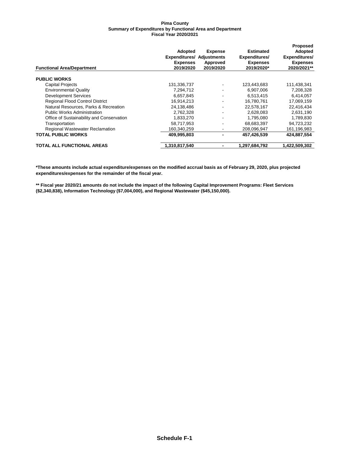|                                           |                                  |                |                  | <b>Proposed</b> |
|-------------------------------------------|----------------------------------|----------------|------------------|-----------------|
|                                           | <b>Adopted</b>                   | <b>Expense</b> | <b>Estimated</b> | Adopted         |
|                                           | <b>Expenditures/ Adjustments</b> |                | Expenditures/    | Expenditures/   |
|                                           | <b>Expenses</b>                  | Approved       | <b>Expenses</b>  | <b>Expenses</b> |
| <b>Functional Area/Department</b>         | 2019/2020                        | 2019/2020      | 2019/2020*       | 2020/2021**     |
| <b>PUBLIC WORKS</b>                       |                                  |                |                  |                 |
| <b>Capital Projects</b>                   | 131,336,737                      | ۰              | 123,443,683      | 111,438,341     |
| <b>Environmental Quality</b>              | 7,294,712                        | ۰              | 6,907,006        | 7,208,328       |
| <b>Development Services</b>               | 6,657,845                        | ۰              | 6,513,415        | 6,414,057       |
| <b>Regional Flood Control District</b>    | 16,914,213                       | ۰.             | 16,780,761       | 17,069,159      |
| Natural Resources, Parks & Recreation     | 24,138,486                       | ۰.             | 22,578,167       | 22,416,434      |
| <b>Public Works Administration</b>        | 2,762,328                        | ۰              | 2,628,083        | 2,631,190       |
| Office of Sustainability and Conservation | 1,833,270                        | ۰              | 1,795,080        | 1,789,830       |
| Transportation                            | 58,717,953                       | ۰.             | 68.683.397       | 94,723,232      |
| Regional Wastewater Reclamation           | 160.340.259                      | ٠              | 208.096.947      | 161,196,983     |
| <b>TOTAL PUBLIC WORKS</b>                 | 409,995,803                      | -              | 457,426,539      | 424,887,554     |
| <b>TOTAL ALL FUNCTIONAL AREAS</b>         | 1,310,817,540                    | -              | 1,297,684,792    | 1,422,509,302   |

**\*These amounts include actual expenditure/expenses on the modified accrual basis as of February 29, 2020, plus projected expenditures/expenses for the remainder of the fiscal year.**

**\*\* Fiscal year 2020/21 amounts do not include the impact of the following Capital Improvement Programs: Fleet Services (\$2,340,838), Information Technology (\$7,004,000), and Regional Wastewater (\$45,150,000).**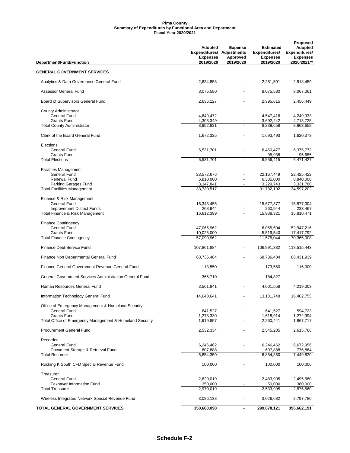| Department/Fund/Function                                 | Adopted<br><b>Expenditures/ Adjustments</b><br><b>Expenses</b><br>2019/2020 | <b>Expense</b><br>Approved<br>2019/2020 | Estimated<br>Expenditures/<br><b>Expenses</b><br>2019/2020 | Proposed<br>Adopted<br>Expenditures/<br><b>Expenses</b><br>2020/2021** |
|----------------------------------------------------------|-----------------------------------------------------------------------------|-----------------------------------------|------------------------------------------------------------|------------------------------------------------------------------------|
| <b>GENERAL GOVERNMENT SERVICES</b>                       |                                                                             |                                         |                                                            |                                                                        |
| Analytics & Data Governance General Fund                 | 2,634,858                                                                   |                                         | 2,281,501                                                  | 2,918,459                                                              |
| Assessor General Fund                                    | 8,075,580                                                                   |                                         | 8,075,580                                                  | 8,067,061                                                              |
| Board of Supervisors General Fund                        | 2,636,127                                                                   |                                         | 2,395,615                                                  | 2,456,449                                                              |
| <b>County Administrator</b>                              |                                                                             |                                         |                                                            |                                                                        |
| <b>General Fund</b>                                      | 4,649,472                                                                   |                                         | 4,547,416                                                  | 4,249,933                                                              |
| <b>Grants Fund</b>                                       | 4,303,349                                                                   |                                         | 3,692,242                                                  | 4,713,725                                                              |
| <b>Total County Administrator</b>                        | 8,952,821                                                                   |                                         | 8,239,658                                                  | 8,963,658                                                              |
| Clerk of the Board General Fund                          | 1,672,325                                                                   |                                         | 1,693,493                                                  | 1,620,373                                                              |
| Elections                                                |                                                                             |                                         |                                                            |                                                                        |
| <b>General Fund</b>                                      | 6,531,701                                                                   |                                         | 6,460,477                                                  | 6,375,772                                                              |
| <b>Grants Fund</b>                                       |                                                                             |                                         | 95,938                                                     | 95,655                                                                 |
| <b>Total Elections</b>                                   | 6,531,701                                                                   |                                         | 6,556,415                                                  | 6.471.427                                                              |
| <b>Facilities Management</b>                             |                                                                             |                                         |                                                            |                                                                        |
| <b>General Fund</b>                                      | 23,572,676                                                                  |                                         | 22, 167, 449                                               | 22,425,422                                                             |
| <b>Renewal Fund</b>                                      | 6,810,000                                                                   |                                         | 6,335,000                                                  | 8,840,000                                                              |
| Parking Garages Fund                                     | 3,347,841                                                                   |                                         | 3,229,743                                                  | 3,331,780                                                              |
| <b>Total Facilities Management</b>                       | 33,730,517                                                                  |                                         | 31,732,192                                                 | 34,597,202                                                             |
| Finance & Risk Management                                |                                                                             |                                         |                                                            |                                                                        |
| <b>General Fund</b>                                      | 16,343,455                                                                  |                                         | 15,677,377                                                 | 15,577,004                                                             |
| <b>Improvement District Funds</b>                        | 268,944                                                                     |                                         | 260,944                                                    | 233,467                                                                |
| Total Finance & Risk Management                          | 16,612,399                                                                  |                                         | 15,938,321                                                 | 15,810,471                                                             |
| <b>Finance Contingency</b>                               |                                                                             |                                         |                                                            |                                                                        |
| <b>General Fund</b>                                      | 47,065,962                                                                  |                                         | 6,055,504                                                  | 52,947,216                                                             |
| <b>Grants Fund</b>                                       | 10,025,000                                                                  |                                         | 5,519,540                                                  | 17,417,792                                                             |
| <b>Total Finance Contingency</b>                         | 57,090,962                                                                  |                                         | 11,575,044                                                 | 70,365,008                                                             |
| Finance Debt Service Fund                                | 107,861,884                                                                 | ٠                                       | 106,991,382                                                | 118,515,443                                                            |
| Finance Non Departmental General Fund                    | 68,736,484                                                                  |                                         | 68,736,484                                                 | 88,431,939                                                             |
| Finance General Government Revenue General Fund          | 113,550                                                                     |                                         | 173,550                                                    | 116,000                                                                |
| General Government Services Administration General Fund  | 365,710                                                                     |                                         | 184,827                                                    |                                                                        |
| Human Resources General Fund                             | 3,561,841                                                                   |                                         | 4,001,558                                                  | 4,219,303                                                              |
| Information Technology General Fund                      | 14,640,641                                                                  |                                         | 13, 181, 748                                               | 16,402,755                                                             |
| Office of Emergency Management & Homeland Security       |                                                                             |                                         |                                                            |                                                                        |
| <b>General Fund</b>                                      | 641,527                                                                     |                                         | 641,527                                                    | 594,723                                                                |
| <b>Grants Fund</b>                                       | 1,278,330                                                                   |                                         | 1,618,914                                                  | 1,272,994                                                              |
| Total Office of Emergency Management & Homeland Security | 1,919,857                                                                   |                                         | 2.260.441                                                  | 1,867,717                                                              |
| <b>Procurement General Fund</b>                          | 2,532,334                                                                   |                                         | 2,545,285                                                  | 2,615,766                                                              |
| Recorder                                                 |                                                                             |                                         |                                                            |                                                                        |
| General Fund                                             | 6,246,462                                                                   |                                         | 6,246,462                                                  | 6,672,956                                                              |
| Document Storage & Retrieval Fund                        | 607,888                                                                     | $\blacksquare$                          | 607,888                                                    | 776,864                                                                |
| <b>Total Recorder</b>                                    | 6,854,350                                                                   |                                         | 6,854,350                                                  | 7,449,820                                                              |
| Rocking K South CFD Special Revenue Fund                 | 100,000                                                                     |                                         | 100,000                                                    | 100,000                                                                |
| Treasurer                                                |                                                                             |                                         |                                                            |                                                                        |
| General Fund                                             | 2,620,019                                                                   |                                         | 2,483,995                                                  | 2,495,560                                                              |
| <b>Taxpayer Information Fund</b>                         | 350,000                                                                     |                                         | 50,000                                                     | 380,000                                                                |
| <b>Total Treasurer</b>                                   | 2,970,019                                                                   |                                         | 2,533,995                                                  | 2,875,560                                                              |
| Wireless Integrated Network Special Revenue Fund         | 3,086,138                                                                   | ٠                                       | 3,026,682                                                  | 2,797,780                                                              |
| TOTAL GENERAL GOVERNMENT SERVICES                        | 350,680,098                                                                 | ٠                                       | 299,078,121                                                | 396,662,191                                                            |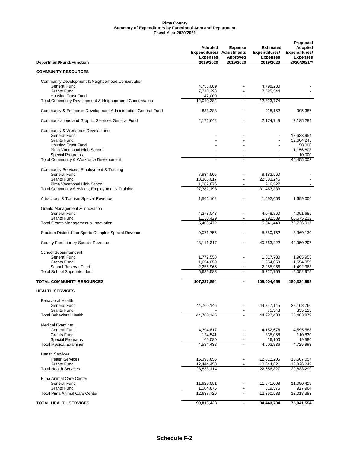| Department/Fund/Function                                     | Adopted<br><b>Expenditures/ Adjustments</b><br><b>Expenses</b><br>2019/2020 | <b>Expense</b><br>Approved<br>2019/2020 | <b>Estimated</b><br>Expenditures/<br><b>Expenses</b><br>2019/2020 | <b>Proposed</b><br>Adopted<br>Expenditures/<br><b>Expenses</b><br>2020/2021** |
|--------------------------------------------------------------|-----------------------------------------------------------------------------|-----------------------------------------|-------------------------------------------------------------------|-------------------------------------------------------------------------------|
| <b>COMMUNITY RESOURCES</b>                                   |                                                                             |                                         |                                                                   |                                                                               |
| Community Development & Neighborhood Conservation            |                                                                             |                                         |                                                                   |                                                                               |
| General Fund                                                 | 4,753,089                                                                   |                                         | 4,798,230                                                         |                                                                               |
| <b>Grants Fund</b>                                           | 7,210,293                                                                   |                                         | 7,525,544                                                         |                                                                               |
| <b>Housing Trust Fund</b>                                    | 47,000                                                                      |                                         |                                                                   |                                                                               |
| Total Community Development & Neighborhood Conservation      | 12,010,382                                                                  | ÷.                                      | 12,323,774                                                        |                                                                               |
| Community & Economic Development Administration General Fund | 833,383                                                                     |                                         | 918,152                                                           | 905,387                                                                       |
| Communications and Graphic Services General Fund             | 2,176,642                                                                   |                                         | 2.174.749                                                         | 2,185,284                                                                     |
| Community & Workforce Development                            |                                                                             |                                         |                                                                   |                                                                               |
| General Fund                                                 |                                                                             |                                         |                                                                   | 12,633,954                                                                    |
| <b>Grants Fund</b>                                           |                                                                             |                                         |                                                                   | 32,604,245                                                                    |
| <b>Housing Trust Fund</b>                                    |                                                                             |                                         |                                                                   | 50,000                                                                        |
| Pima Vocational High School                                  |                                                                             |                                         |                                                                   | 1,156,803                                                                     |
| Special Programs<br>Total Community & Workforce Development  |                                                                             |                                         |                                                                   | 10,000<br>46,455,002                                                          |
|                                                              |                                                                             |                                         |                                                                   |                                                                               |
| Community Services, Employment & Training                    |                                                                             |                                         |                                                                   |                                                                               |
| <b>General Fund</b>                                          | 7,934,505                                                                   |                                         | 8,183,560                                                         |                                                                               |
| <b>Grants Fund</b>                                           | 18,365,017                                                                  |                                         | 22,383,246                                                        |                                                                               |
| Pima Vocational High School                                  | 1,082,676                                                                   |                                         | 916.527                                                           |                                                                               |
| Total Community Services, Employment & Training              | 27,382,198                                                                  |                                         | 31,483,333                                                        |                                                                               |
| <b>Attractions &amp; Tourism Special Revenue</b>             | 1,566,162                                                                   |                                         | 1,492,063                                                         | 1,699,006                                                                     |
| Grants Management & Innovation                               |                                                                             |                                         |                                                                   |                                                                               |
| <b>General Fund</b>                                          | 4,273,043                                                                   | ٠                                       | 4,048,860                                                         | 4,051,685                                                                     |
| <b>Grants Fund</b>                                           | 1,130,429                                                                   | $\overline{\phantom{a}}$                | 1,292,589                                                         | 68,675,232                                                                    |
| Total Grants Management & Innovation                         | 5,403,472                                                                   |                                         | 5,341,449                                                         | 72,726,917                                                                    |
| Stadium District-Kino Sports Complex Special Revenue         | 9,071,755                                                                   |                                         | 8,780,162                                                         | 8,360,130                                                                     |
| County Free Library Special Revenue                          | 43,111,317                                                                  |                                         | 40,763,222                                                        | 42,950,297                                                                    |
| School Superintendent                                        |                                                                             |                                         |                                                                   |                                                                               |
| General Fund                                                 | 1,772,558                                                                   |                                         | 1,817,730                                                         | 1,905,953                                                                     |
| <b>Grants Fund</b>                                           | 1,654,059                                                                   | $\overline{a}$                          | 1,654,059                                                         | 1,654,059                                                                     |
| School Reserve Fund                                          | 2,255,966                                                                   |                                         | 2,255,966                                                         | 1,492,963                                                                     |
| <b>Total School Superintendent</b>                           | 5,682,583                                                                   |                                         | 5,727,755                                                         | 5,052,975                                                                     |
| <b>TOTAL COMMUNITY RESOURCES</b>                             | 107,237,894                                                                 | ٠                                       | 109,004,659                                                       | 180,334,998                                                                   |
| <b>HEALTH SERVICES</b>                                       |                                                                             |                                         |                                                                   |                                                                               |
|                                                              |                                                                             |                                         |                                                                   |                                                                               |
| <b>Behavioral Health</b>                                     |                                                                             |                                         |                                                                   |                                                                               |
| General Fund<br><b>Grants Fund</b>                           | 44,760,145                                                                  |                                         | 44,847,145<br>75,343                                              | 28,108,766<br>355,113                                                         |
| <b>Total Behavioral Health</b>                               | 44,760,145                                                                  |                                         | 44,922,488                                                        | 28,463,879                                                                    |
|                                                              |                                                                             |                                         |                                                                   |                                                                               |
| <b>Medical Examiner</b>                                      |                                                                             |                                         |                                                                   |                                                                               |
| <b>General Fund</b><br><b>Grants Fund</b>                    | 4,394,817                                                                   |                                         | 4,152,678                                                         | 4,595,583<br>110,830                                                          |
| Special Programs                                             | 124,541<br>65,080                                                           |                                         | 335,058<br>16,100                                                 | 19,580                                                                        |
| <b>Total Medical Examiner</b>                                | 4,584,438                                                                   |                                         | 4,503,836                                                         | 4,725,993                                                                     |
|                                                              |                                                                             |                                         |                                                                   |                                                                               |
| <b>Health Services</b>                                       |                                                                             |                                         |                                                                   |                                                                               |
| <b>Health Services</b>                                       | 16,393,656                                                                  |                                         | 12,012,206                                                        | 16,507,057                                                                    |
| <b>Grants Fund</b>                                           | 12,444,458                                                                  | ٠                                       | 10,644,621                                                        | 13,326,242                                                                    |
| <b>Total Health Services</b>                                 | 28,838,114                                                                  |                                         | 22,656,827                                                        | 29,833,299                                                                    |
| Pima Animal Care Center                                      |                                                                             |                                         |                                                                   |                                                                               |
| <b>General Fund</b><br><b>Grants Fund</b>                    | 11,629,051                                                                  | $\overline{\phantom{0}}$                | 11,541,008<br>819,575                                             | 11,090,419<br>927,964                                                         |
| <b>Total Pima Animal Care Center</b>                         | 1,004,675<br>12,633,726                                                     | $\overline{a}$                          | 12,360,583                                                        | 12,018,383                                                                    |
|                                                              |                                                                             |                                         |                                                                   |                                                                               |
| <b>TOTAL HEALTH SERVICES</b>                                 | 90,816,423                                                                  | $\blacksquare$                          | 84,443,734                                                        | 75,041,554                                                                    |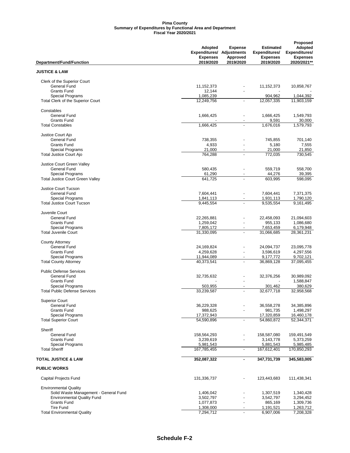|                                                              | <b>Adopted</b>                                      | <b>Expense</b>           | <b>Estimated</b>                 | Proposed<br>Adopted              |  |
|--------------------------------------------------------------|-----------------------------------------------------|--------------------------|----------------------------------|----------------------------------|--|
|                                                              | <b>Expenditures/ Adjustments</b><br><b>Expenses</b> | Approved                 | Expenditures/<br><b>Expenses</b> | Expenditures/<br><b>Expenses</b> |  |
| Department/Fund/Function                                     | 2019/2020                                           | 2019/2020                | 2019/2020                        | 2020/2021**                      |  |
| <b>JUSTICE &amp; LAW</b>                                     |                                                     |                          |                                  |                                  |  |
| Clerk of the Superior Court                                  |                                                     |                          |                                  |                                  |  |
| <b>General Fund</b>                                          | 11,152,373                                          |                          | 11, 152, 373                     | 10,858,767                       |  |
| <b>Grants Fund</b>                                           | 12,144                                              |                          |                                  |                                  |  |
| <b>Special Programs</b>                                      | 1,085,239                                           |                          | 904,962                          | 1,044,392                        |  |
| Total Clerk of the Superior Court                            | 12,249,756                                          |                          | 12,057,335                       | 11,903,159                       |  |
| Constables                                                   |                                                     |                          |                                  |                                  |  |
| General Fund                                                 | 1,666,425                                           | ٠                        | 1,666,425                        | 1,549,793                        |  |
| <b>Grants Fund</b>                                           |                                                     |                          | 9,591                            | 30,000                           |  |
| <b>Total Constables</b>                                      | 1,666,425                                           |                          | 1,676,016                        | 1,579,793                        |  |
| Justice Court Ajo                                            |                                                     |                          |                                  |                                  |  |
| <b>General Fund</b>                                          | 738,355                                             |                          | 745,855                          | 701,140                          |  |
| <b>Grants Fund</b>                                           | 4,933                                               |                          | 5,180                            | 7,555                            |  |
| <b>Special Programs</b>                                      | 21,000<br>764,288                                   |                          | 21,000<br>772,035                | 21,850<br>730,545                |  |
| <b>Total Justice Court Ajo</b>                               |                                                     |                          |                                  |                                  |  |
| Justice Court Green Valley                                   |                                                     |                          |                                  |                                  |  |
| <b>General Fund</b><br><b>Special Programs</b>               | 580,435                                             |                          | 559,719                          | 558,700                          |  |
| <b>Total Justice Court Green Valley</b>                      | 61,290<br>641,725                                   |                          | 44,276<br>603,995                | 39,395<br>598,095                |  |
|                                                              |                                                     |                          |                                  |                                  |  |
| Justice Court Tucson                                         |                                                     |                          |                                  |                                  |  |
| <b>General Fund</b>                                          | 7,604,441                                           |                          | 7,604,441                        | 7,371,375                        |  |
| <b>Special Programs</b><br><b>Total Justice Court Tucson</b> | 1,841,113<br>9,445,554                              |                          | 1,931,113<br>9,535,554           | 1,790,120<br>9,161,495           |  |
|                                                              |                                                     |                          |                                  |                                  |  |
| Juvenile Court                                               |                                                     |                          |                                  |                                  |  |
| <b>General Fund</b>                                          | 22,265,881                                          |                          | 22,458,093                       | 21,094,603                       |  |
| <b>Grants Fund</b>                                           | 1,259,042                                           |                          | 955,133                          | 1,086,680                        |  |
| <b>Special Programs</b><br><b>Total Juvenile Court</b>       | 7,805,172<br>31,330,095                             | $\overline{a}$           | 7,653,459<br>31,066,685          | 6,179,948<br>28,361,231          |  |
|                                                              |                                                     |                          |                                  |                                  |  |
| <b>County Attorney</b><br><b>General Fund</b>                |                                                     |                          |                                  |                                  |  |
| <b>Grants Fund</b>                                           | 24,169,824<br>4,259,628                             | ÷.                       | 24,094,737<br>3,596,619          | 23,095,778<br>4,297,556          |  |
| <b>Special Programs</b>                                      | 11,944,089                                          | $\overline{\phantom{0}}$ | 9,177,772                        | 9,702,121                        |  |
| <b>Total County Attorney</b>                                 | 40,373,541                                          | $\overline{a}$           | 36,869,128                       | 37,095,455                       |  |
| <b>Public Defense Services</b>                               |                                                     |                          |                                  |                                  |  |
| <b>General Fund</b>                                          | 32,735,632                                          |                          | 32,376,256                       | 30.989.092                       |  |
| <b>Grants Fund</b>                                           |                                                     |                          |                                  | 1,588,847                        |  |
| <b>Special Programs</b>                                      | 503,955                                             |                          | 301,462                          | 380,629                          |  |
| <b>Total Public Defense Services</b>                         | 33,239,587                                          |                          | 32,677,718                       | 32,958,568                       |  |
| <b>Superior Court</b>                                        |                                                     |                          |                                  |                                  |  |
| <b>General Fund</b>                                          | 36,229,328                                          |                          | 36,558,278                       | 34,385,896                       |  |
| <b>Grants Fund</b>                                           | 988,625                                             |                          | 981,735                          | 1,498,297                        |  |
| <b>Special Programs</b>                                      | 17,372,943                                          |                          | 17,320,859                       | 16,460,178                       |  |
| <b>Total Superior Court</b>                                  | 54,590,896                                          | $\overline{a}$           | 54,860,872                       | 52,344,371                       |  |
| Sheriff                                                      |                                                     |                          |                                  |                                  |  |
| General Fund                                                 | 158,564,293                                         |                          | 158,587,080                      | 159,491,549                      |  |
| <b>Grants Fund</b>                                           | 3,239,619                                           |                          | 3,143,778                        | 5,373,259                        |  |
| <b>Special Programs</b>                                      | 5,981,543                                           |                          | 5,881,543                        | 5,985,485                        |  |
| <b>Total Sheriff</b>                                         | 167,785,455                                         | $\overline{a}$           | 167,612,401                      | 170,850,293                      |  |
| <b>TOTAL JUSTICE &amp; LAW</b>                               | 352,087,322                                         |                          | 347,731,739                      | 345,583,005                      |  |
| <b>PUBLIC WORKS</b>                                          |                                                     |                          |                                  |                                  |  |
| Capital Projects Fund                                        | 131,336,737                                         |                          | 123,443,683                      | 111,438,341                      |  |
| <b>Environmental Quality</b>                                 |                                                     |                          |                                  |                                  |  |
| Solid Waste Management - General Fund                        | 1,406,042                                           |                          | 1,307,519                        | 1,340,428                        |  |
| <b>Environmental Quality Fund</b>                            | 3,502,797                                           |                          | 3,542,797                        | 3,294,452                        |  |
| <b>Grants Fund</b><br><b>Tire Fund</b>                       | 1,077,873                                           |                          | 865,169                          | 1,309,736                        |  |
| <b>Total Environmental Quality</b>                           | 1,308,000<br>7,294,712                              | $\overline{a}$           | 1,191,521<br>6,907,006           | 1,263,712<br>7,208,328           |  |
|                                                              |                                                     |                          |                                  |                                  |  |